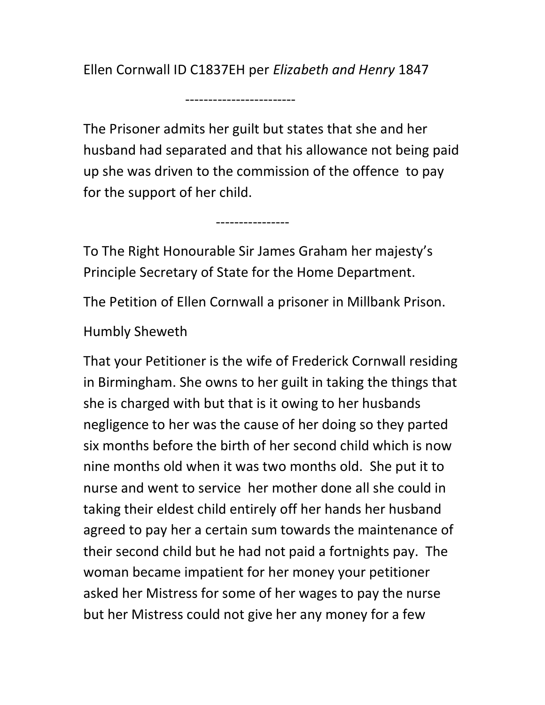Ellen Cornwall ID C1837EH per Elizabeth and Henry 1847

------------------------

The Prisoner admits her guilt but states that she and her husband had separated and that his allowance not being paid up she was driven to the commission of the offence to pay for the support of her child.

To The Right Honourable Sir James Graham her majesty's Principle Secretary of State for the Home Department.

----------------

The Petition of Ellen Cornwall a prisoner in Millbank Prison.

## Humbly Sheweth

That your Petitioner is the wife of Frederick Cornwall residing in Birmingham. She owns to her guilt in taking the things that she is charged with but that is it owing to her husbands negligence to her was the cause of her doing so they parted six months before the birth of her second child which is now nine months old when it was two months old. She put it to nurse and went to service her mother done all she could in taking their eldest child entirely off her hands her husband agreed to pay her a certain sum towards the maintenance of their second child but he had not paid a fortnights pay. The woman became impatient for her money your petitioner asked her Mistress for some of her wages to pay the nurse but her Mistress could not give her any money for a few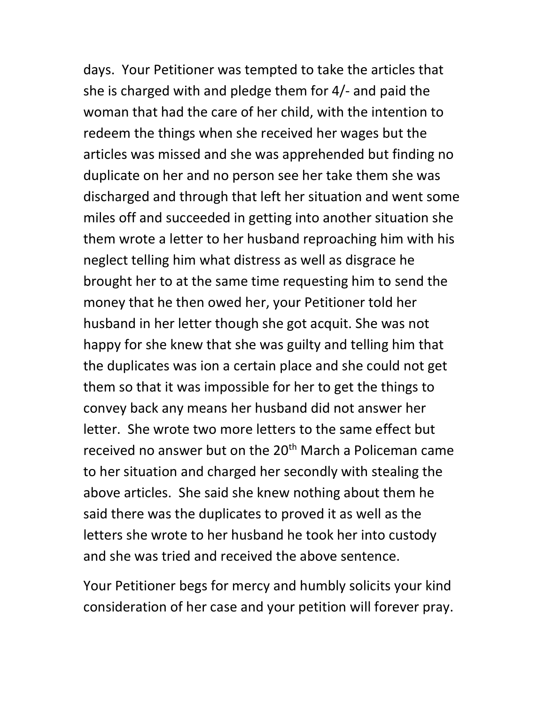days. Your Petitioner was tempted to take the articles that she is charged with and pledge them for 4/- and paid the woman that had the care of her child, with the intention to redeem the things when she received her wages but the articles was missed and she was apprehended but finding no duplicate on her and no person see her take them she was discharged and through that left her situation and went some miles off and succeeded in getting into another situation she them wrote a letter to her husband reproaching him with his neglect telling him what distress as well as disgrace he brought her to at the same time requesting him to send the money that he then owed her, your Petitioner told her husband in her letter though she got acquit. She was not happy for she knew that she was guilty and telling him that the duplicates was ion a certain place and she could not get them so that it was impossible for her to get the things to convey back any means her husband did not answer her letter. She wrote two more letters to the same effect but received no answer but on the 20<sup>th</sup> March a Policeman came to her situation and charged her secondly with stealing the above articles. She said she knew nothing about them he said there was the duplicates to proved it as well as the letters she wrote to her husband he took her into custody and she was tried and received the above sentence.

Your Petitioner begs for mercy and humbly solicits your kind consideration of her case and your petition will forever pray.